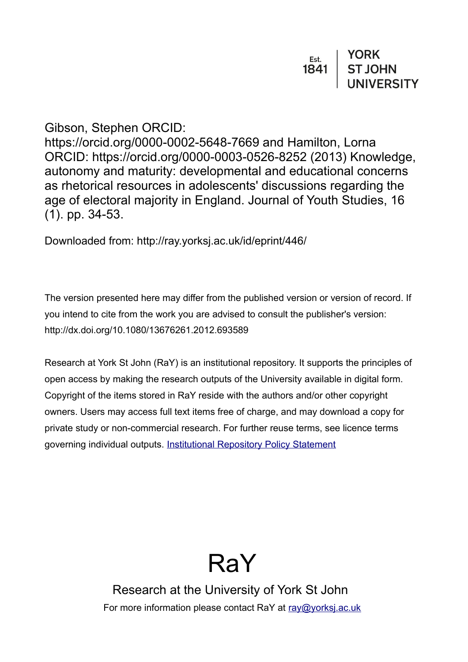# Gibson, Stephen ORCID:

https://orcid.org/0000-0002-5648-7669 and Hamilton, Lorna ORCID: https://orcid.org/0000-0003-0526-8252 (2013) Knowledge, autonomy and maturity: developmental and educational concerns as rhetorical resources in adolescents' discussions regarding the age of electoral majority in England. Journal of Youth Studies, 16 (1). pp. 34-53.

Downloaded from: http://ray.yorksj.ac.uk/id/eprint/446/

The version presented here may differ from the published version or version of record. If you intend to cite from the work you are advised to consult the publisher's version: http://dx.doi.org/10.1080/13676261.2012.693589

Research at York St John (RaY) is an institutional repository. It supports the principles of open access by making the research outputs of the University available in digital form. Copyright of the items stored in RaY reside with the authors and/or other copyright owners. Users may access full text items free of charge, and may download a copy for private study or non-commercial research. For further reuse terms, see licence terms governing individual outputs. [Institutional Repository Policy Statement](https://www.yorksj.ac.uk/ils/repository-policies/)



Research at the University of York St John For more information please contact RaY at [ray@yorksj.ac.uk](mailto:ray@yorksj.ac.uk)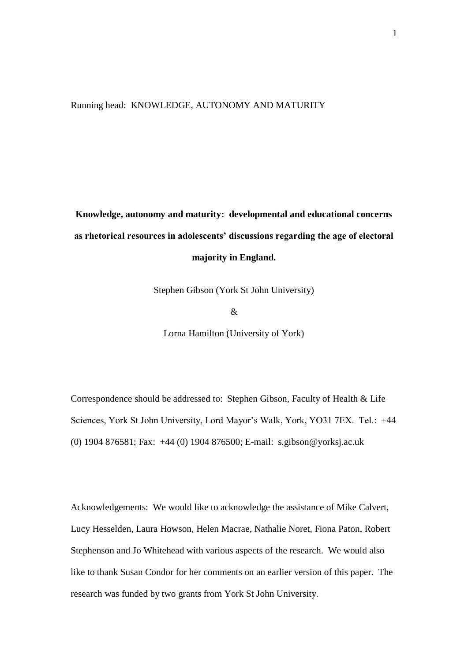Running head: KNOWLEDGE, AUTONOMY AND MATURITY

**Knowledge, autonomy and maturity: developmental and educational concerns as rhetorical resources in adolescents' discussions regarding the age of electoral majority in England.**

Stephen Gibson (York St John University)

 $\mathcal{R}$ 

Lorna Hamilton (University of York)

Correspondence should be addressed to: Stephen Gibson, Faculty of Health & Life Sciences, York St John University, Lord Mayor's Walk, York, YO31 7EX. Tel.: +44 (0) 1904 876581; Fax: +44 (0) 1904 876500; E-mail: s.gibson@yorksj.ac.uk

Acknowledgements: We would like to acknowledge the assistance of Mike Calvert, Lucy Hesselden, Laura Howson, Helen Macrae, Nathalie Noret, Fiona Paton, Robert Stephenson and Jo Whitehead with various aspects of the research. We would also like to thank Susan Condor for her comments on an earlier version of this paper. The research was funded by two grants from York St John University.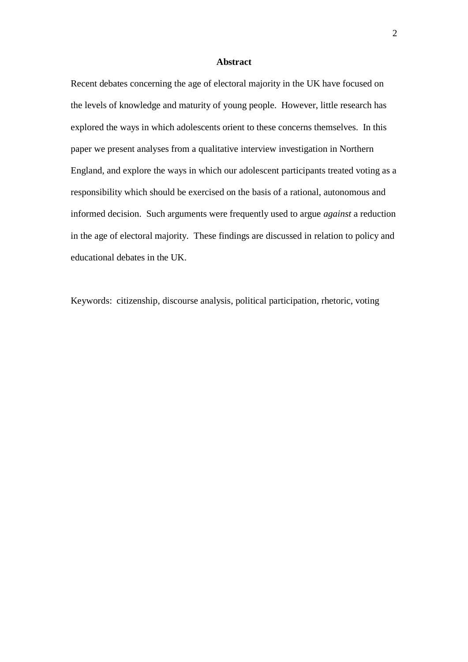#### **Abstract**

Recent debates concerning the age of electoral majority in the UK have focused on the levels of knowledge and maturity of young people. However, little research has explored the ways in which adolescents orient to these concerns themselves. In this paper we present analyses from a qualitative interview investigation in Northern England, and explore the ways in which our adolescent participants treated voting as a responsibility which should be exercised on the basis of a rational, autonomous and informed decision. Such arguments were frequently used to argue *against* a reduction in the age of electoral majority. These findings are discussed in relation to policy and educational debates in the UK.

Keywords: citizenship, discourse analysis, political participation, rhetoric, voting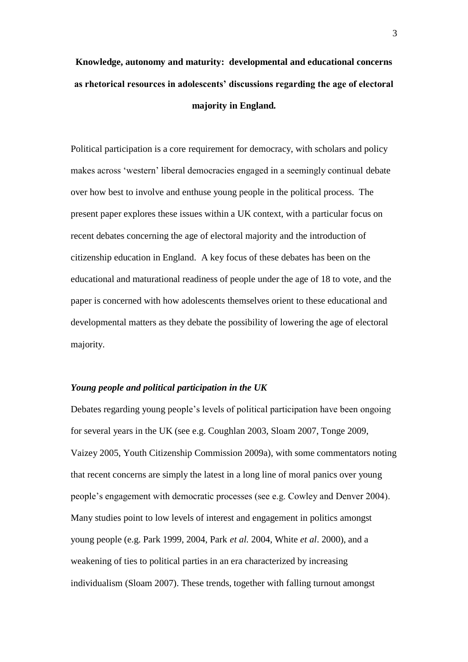# **Knowledge, autonomy and maturity: developmental and educational concerns as rhetorical resources in adolescents' discussions regarding the age of electoral majority in England.**

Political participation is a core requirement for democracy, with scholars and policy makes across 'western' liberal democracies engaged in a seemingly continual debate over how best to involve and enthuse young people in the political process. The present paper explores these issues within a UK context, with a particular focus on recent debates concerning the age of electoral majority and the introduction of citizenship education in England. A key focus of these debates has been on the educational and maturational readiness of people under the age of 18 to vote, and the paper is concerned with how adolescents themselves orient to these educational and developmental matters as they debate the possibility of lowering the age of electoral majority.

#### *Young people and political participation in the UK*

Debates regarding young people's levels of political participation have been ongoing for several years in the UK (see e.g. Coughlan 2003, Sloam 2007, Tonge 2009, Vaizey 2005, Youth Citizenship Commission 2009a), with some commentators noting that recent concerns are simply the latest in a long line of moral panics over young people's engagement with democratic processes (see e.g. Cowley and Denver 2004). Many studies point to low levels of interest and engagement in politics amongst young people (e.g. Park 1999, 2004, Park *et al.* 2004, White *et al*. 2000), and a weakening of ties to political parties in an era characterized by increasing individualism (Sloam 2007). These trends, together with falling turnout amongst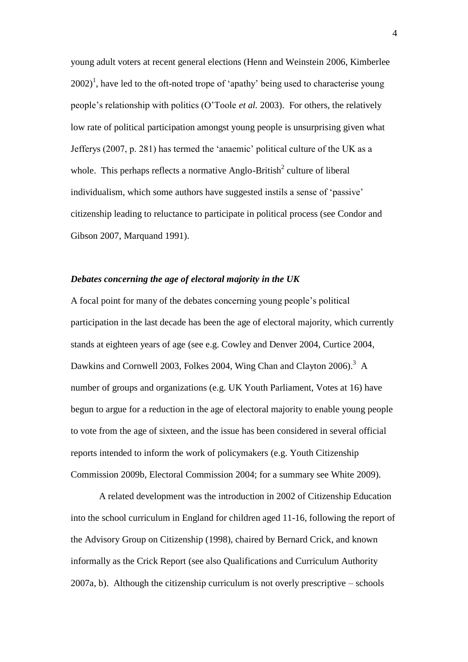young adult voters at recent general elections (Henn and Weinstein 2006, Kimberlee  $2002$ <sup>1</sup>, have led to the oft-noted trope of 'apathy' being used to characterise young people's relationship with politics (O'Toole *et al.* 2003). For others, the relatively low rate of political participation amongst young people is unsurprising given what Jefferys (2007, p. 281) has termed the 'anaemic' political culture of the UK as a whole. This perhaps reflects a normative Anglo-British<sup>2</sup> culture of liberal individualism, which some authors have suggested instils a sense of 'passive' citizenship leading to reluctance to participate in political process (see Condor and Gibson 2007, Marquand 1991).

## *Debates concerning the age of electoral majority in the UK*

A focal point for many of the debates concerning young people's political participation in the last decade has been the age of electoral majority, which currently stands at eighteen years of age (see e.g. Cowley and Denver 2004, Curtice 2004, Dawkins and Cornwell 2003, Folkes 2004, Wing Chan and Clayton 2006).<sup>3</sup> A number of groups and organizations (e.g. UK Youth Parliament, Votes at 16) have begun to argue for a reduction in the age of electoral majority to enable young people to vote from the age of sixteen, and the issue has been considered in several official reports intended to inform the work of policymakers (e.g. Youth Citizenship Commission 2009b, Electoral Commission 2004; for a summary see White 2009).

A related development was the introduction in 2002 of Citizenship Education into the school curriculum in England for children aged 11-16, following the report of the Advisory Group on Citizenship (1998), chaired by Bernard Crick, and known informally as the Crick Report (see also Qualifications and Curriculum Authority 2007a, b). Although the citizenship curriculum is not overly prescriptive – schools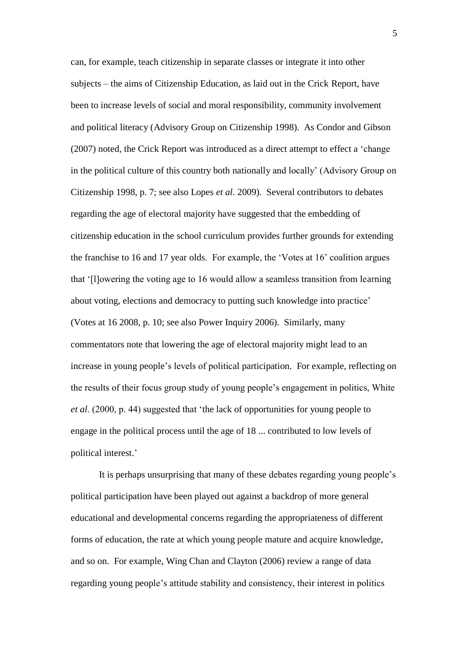can, for example, teach citizenship in separate classes or integrate it into other subjects – the aims of Citizenship Education, as laid out in the Crick Report, have been to increase levels of social and moral responsibility, community involvement and political literacy (Advisory Group on Citizenship 1998). As Condor and Gibson (2007) noted, the Crick Report was introduced as a direct attempt to effect a 'change in the political culture of this country both nationally and locally' (Advisory Group on Citizenship 1998, p. 7; see also Lopes *et al*. 2009). Several contributors to debates regarding the age of electoral majority have suggested that the embedding of citizenship education in the school curriculum provides further grounds for extending the franchise to 16 and 17 year olds. For example, the 'Votes at 16' coalition argues that '[l]owering the voting age to 16 would allow a seamless transition from learning about voting, elections and democracy to putting such knowledge into practice' (Votes at 16 2008, p. 10; see also Power Inquiry 2006). Similarly, many commentators note that lowering the age of electoral majority might lead to an increase in young people's levels of political participation. For example, reflecting on the results of their focus group study of young people's engagement in politics, White *et al*. (2000, p. 44) suggested that 'the lack of opportunities for young people to engage in the political process until the age of 18 ... contributed to low levels of political interest.'

It is perhaps unsurprising that many of these debates regarding young people's political participation have been played out against a backdrop of more general educational and developmental concerns regarding the appropriateness of different forms of education, the rate at which young people mature and acquire knowledge, and so on. For example, Wing Chan and Clayton (2006) review a range of data regarding young people's attitude stability and consistency, their interest in politics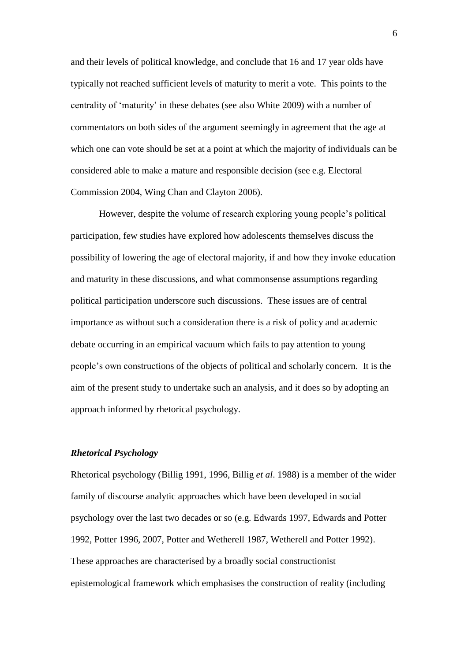and their levels of political knowledge, and conclude that 16 and 17 year olds have typically not reached sufficient levels of maturity to merit a vote. This points to the centrality of 'maturity' in these debates (see also White 2009) with a number of commentators on both sides of the argument seemingly in agreement that the age at which one can vote should be set at a point at which the majority of individuals can be considered able to make a mature and responsible decision (see e.g. Electoral Commission 2004, Wing Chan and Clayton 2006).

However, despite the volume of research exploring young people's political participation, few studies have explored how adolescents themselves discuss the possibility of lowering the age of electoral majority, if and how they invoke education and maturity in these discussions, and what commonsense assumptions regarding political participation underscore such discussions. These issues are of central importance as without such a consideration there is a risk of policy and academic debate occurring in an empirical vacuum which fails to pay attention to young people's own constructions of the objects of political and scholarly concern. It is the aim of the present study to undertake such an analysis, and it does so by adopting an approach informed by rhetorical psychology.

## *Rhetorical Psychology*

Rhetorical psychology (Billig 1991, 1996, Billig *et al*. 1988) is a member of the wider family of discourse analytic approaches which have been developed in social psychology over the last two decades or so (e.g. Edwards 1997, Edwards and Potter 1992, Potter 1996, 2007, Potter and Wetherell 1987, Wetherell and Potter 1992). These approaches are characterised by a broadly social constructionist epistemological framework which emphasises the construction of reality (including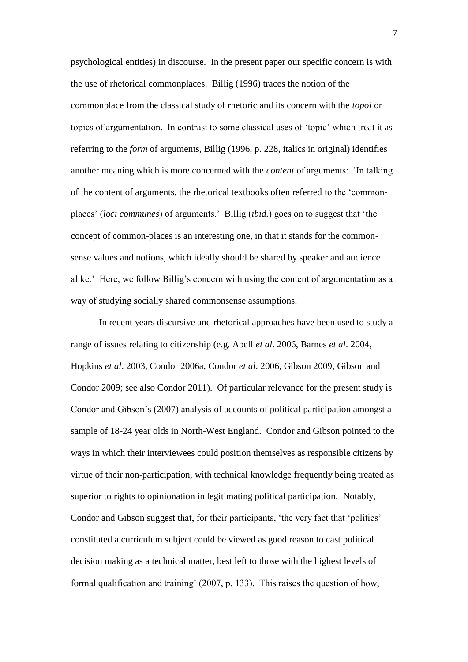psychological entities) in discourse. In the present paper our specific concern is with the use of rhetorical commonplaces. Billig (1996) traces the notion of the commonplace from the classical study of rhetoric and its concern with the *topoi* or topics of argumentation. In contrast to some classical uses of 'topic' which treat it as referring to the *form* of arguments, Billig (1996, p. 228, italics in original) identifies another meaning which is more concerned with the *content* of arguments: 'In talking of the content of arguments, the rhetorical textbooks often referred to the 'commonplaces' (*loci communes*) of arguments.' Billig (*ibid.*) goes on to suggest that 'the concept of common-places is an interesting one, in that it stands for the commonsense values and notions, which ideally should be shared by speaker and audience alike.' Here, we follow Billig's concern with using the content of argumentation as a way of studying socially shared commonsense assumptions.

In recent years discursive and rhetorical approaches have been used to study a range of issues relating to citizenship (e.g. Abell *et al*. 2006, Barnes *et al*. 2004, Hopkins *et al*. 2003, Condor 2006a, Condor *et al*. 2006, Gibson 2009, Gibson and Condor 2009; see also Condor 2011). Of particular relevance for the present study is Condor and Gibson's (2007) analysis of accounts of political participation amongst a sample of 18-24 year olds in North-West England. Condor and Gibson pointed to the ways in which their interviewees could position themselves as responsible citizens by virtue of their non-participation, with technical knowledge frequently being treated as superior to rights to opinionation in legitimating political participation. Notably, Condor and Gibson suggest that, for their participants, 'the very fact that 'politics' constituted a curriculum subject could be viewed as good reason to cast political decision making as a technical matter, best left to those with the highest levels of formal qualification and training' (2007, p. 133). This raises the question of how,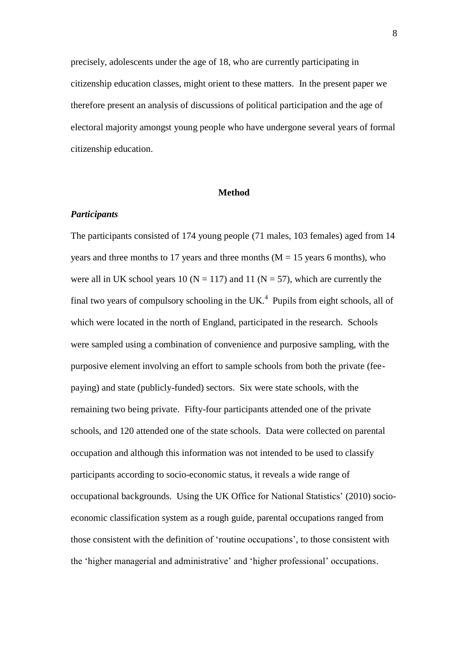precisely, adolescents under the age of 18, who are currently participating in citizenship education classes, might orient to these matters. In the present paper we therefore present an analysis of discussions of political participation and the age of electoral majority amongst young people who have undergone several years of formal citizenship education.

#### **Method**

#### *Participants*

The participants consisted of 174 young people (71 males, 103 females) aged from 14 years and three months to 17 years and three months  $(M = 15$  years 6 months), who were all in UK school years 10 ( $N = 117$ ) and 11 ( $N = 57$ ), which are currently the final two years of compulsory schooling in the UK. $<sup>4</sup>$  Pupils from eight schools, all of</sup> which were located in the north of England, participated in the research. Schools were sampled using a combination of convenience and purposive sampling, with the purposive element involving an effort to sample schools from both the private (feepaying) and state (publicly-funded) sectors. Six were state schools, with the remaining two being private. Fifty-four participants attended one of the private schools, and 120 attended one of the state schools. Data were collected on parental occupation and although this information was not intended to be used to classify participants according to socio-economic status, it reveals a wide range of occupational backgrounds. Using the UK Office for National Statistics' (2010) socioeconomic classification system as a rough guide, parental occupations ranged from those consistent with the definition of 'routine occupations', to those consistent with the 'higher managerial and administrative' and 'higher professional' occupations.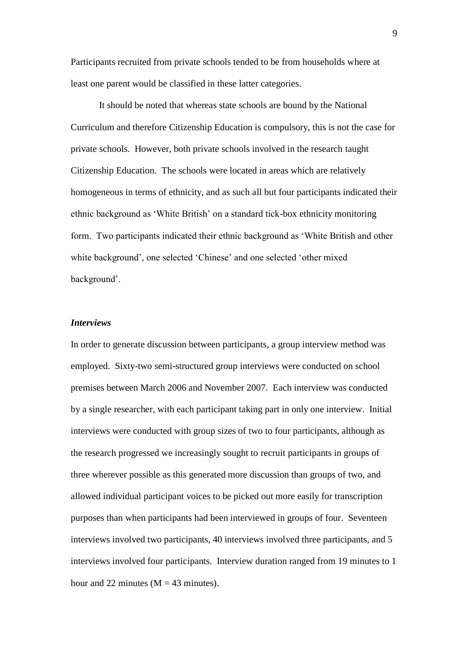Participants recruited from private schools tended to be from households where at least one parent would be classified in these latter categories.

It should be noted that whereas state schools are bound by the National Curriculum and therefore Citizenship Education is compulsory, this is not the case for private schools. However, both private schools involved in the research taught Citizenship Education. The schools were located in areas which are relatively homogeneous in terms of ethnicity, and as such all but four participants indicated their ethnic background as 'White British' on a standard tick-box ethnicity monitoring form. Two participants indicated their ethnic background as 'White British and other white background', one selected 'Chinese' and one selected 'other mixed background'.

## *Interviews*

In order to generate discussion between participants, a group interview method was employed. Sixty-two semi-structured group interviews were conducted on school premises between March 2006 and November 2007. Each interview was conducted by a single researcher, with each participant taking part in only one interview. Initial interviews were conducted with group sizes of two to four participants, although as the research progressed we increasingly sought to recruit participants in groups of three wherever possible as this generated more discussion than groups of two, and allowed individual participant voices to be picked out more easily for transcription purposes than when participants had been interviewed in groups of four. Seventeen interviews involved two participants, 40 interviews involved three participants, and 5 interviews involved four participants. Interview duration ranged from 19 minutes to 1 hour and 22 minutes ( $M = 43$  minutes).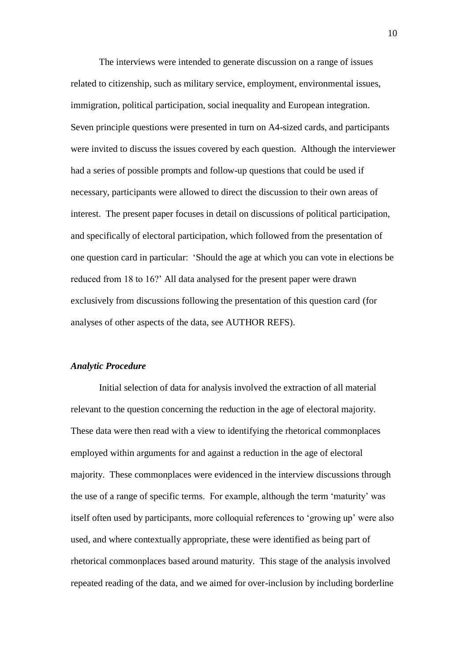The interviews were intended to generate discussion on a range of issues related to citizenship, such as military service, employment, environmental issues, immigration, political participation, social inequality and European integration. Seven principle questions were presented in turn on A4-sized cards, and participants were invited to discuss the issues covered by each question. Although the interviewer had a series of possible prompts and follow-up questions that could be used if necessary, participants were allowed to direct the discussion to their own areas of interest. The present paper focuses in detail on discussions of political participation, and specifically of electoral participation, which followed from the presentation of one question card in particular: 'Should the age at which you can vote in elections be reduced from 18 to 16?' All data analysed for the present paper were drawn exclusively from discussions following the presentation of this question card (for analyses of other aspects of the data, see AUTHOR REFS).

#### *Analytic Procedure*

Initial selection of data for analysis involved the extraction of all material relevant to the question concerning the reduction in the age of electoral majority. These data were then read with a view to identifying the rhetorical commonplaces employed within arguments for and against a reduction in the age of electoral majority. These commonplaces were evidenced in the interview discussions through the use of a range of specific terms. For example, although the term 'maturity' was itself often used by participants, more colloquial references to 'growing up' were also used, and where contextually appropriate, these were identified as being part of rhetorical commonplaces based around maturity. This stage of the analysis involved repeated reading of the data, and we aimed for over-inclusion by including borderline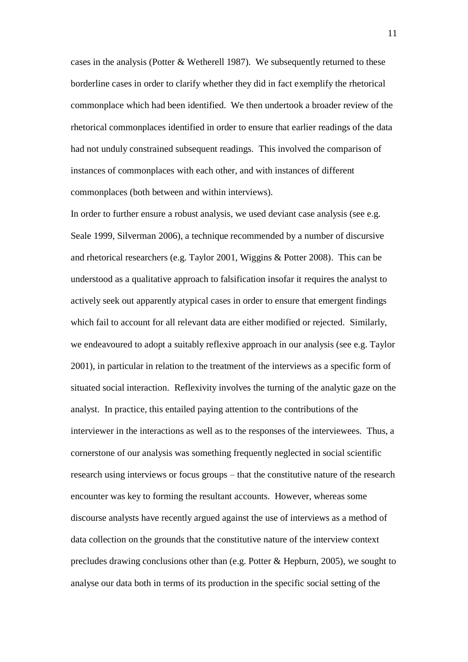cases in the analysis (Potter  $&$  Wetherell 1987). We subsequently returned to these borderline cases in order to clarify whether they did in fact exemplify the rhetorical commonplace which had been identified. We then undertook a broader review of the rhetorical commonplaces identified in order to ensure that earlier readings of the data had not unduly constrained subsequent readings. This involved the comparison of instances of commonplaces with each other, and with instances of different commonplaces (both between and within interviews).

In order to further ensure a robust analysis, we used deviant case analysis (see e.g. Seale 1999, Silverman 2006), a technique recommended by a number of discursive and rhetorical researchers (e.g. Taylor 2001, Wiggins & Potter 2008). This can be understood as a qualitative approach to falsification insofar it requires the analyst to actively seek out apparently atypical cases in order to ensure that emergent findings which fail to account for all relevant data are either modified or rejected. Similarly, we endeavoured to adopt a suitably reflexive approach in our analysis (see e.g. Taylor 2001), in particular in relation to the treatment of the interviews as a specific form of situated social interaction. Reflexivity involves the turning of the analytic gaze on the analyst. In practice, this entailed paying attention to the contributions of the interviewer in the interactions as well as to the responses of the interviewees. Thus, a cornerstone of our analysis was something frequently neglected in social scientific research using interviews or focus groups – that the constitutive nature of the research encounter was key to forming the resultant accounts. However, whereas some discourse analysts have recently argued against the use of interviews as a method of data collection on the grounds that the constitutive nature of the interview context precludes drawing conclusions other than (e.g. Potter & Hepburn, 2005), we sought to analyse our data both in terms of its production in the specific social setting of the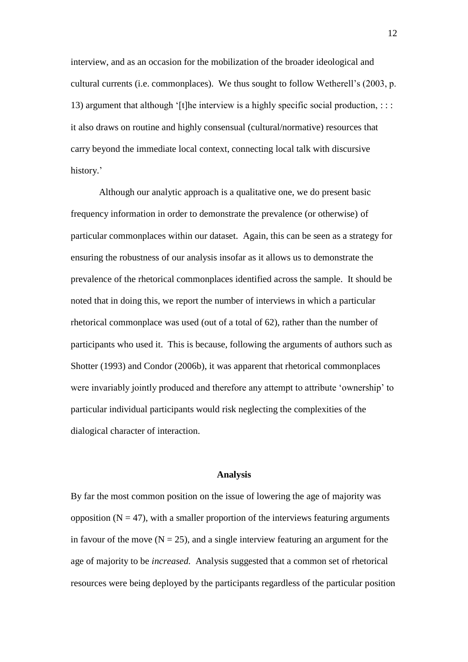interview, and as an occasion for the mobilization of the broader ideological and cultural currents (i.e. commonplaces). We thus sought to follow Wetherell's (2003, p. 13) argument that although '[t]he interview is a highly specific social production,  $\cdots$ it also draws on routine and highly consensual (cultural/normative) resources that carry beyond the immediate local context, connecting local talk with discursive history.'

Although our analytic approach is a qualitative one, we do present basic frequency information in order to demonstrate the prevalence (or otherwise) of particular commonplaces within our dataset. Again, this can be seen as a strategy for ensuring the robustness of our analysis insofar as it allows us to demonstrate the prevalence of the rhetorical commonplaces identified across the sample. It should be noted that in doing this, we report the number of interviews in which a particular rhetorical commonplace was used (out of a total of 62), rather than the number of participants who used it. This is because, following the arguments of authors such as Shotter (1993) and Condor (2006b), it was apparent that rhetorical commonplaces were invariably jointly produced and therefore any attempt to attribute 'ownership' to particular individual participants would risk neglecting the complexities of the dialogical character of interaction.

#### **Analysis**

By far the most common position on the issue of lowering the age of majority was opposition  $(N = 47)$ , with a smaller proportion of the interviews featuring arguments in favour of the move  $(N = 25)$ , and a single interview featuring an argument for the age of majority to be *increased.* Analysis suggested that a common set of rhetorical resources were being deployed by the participants regardless of the particular position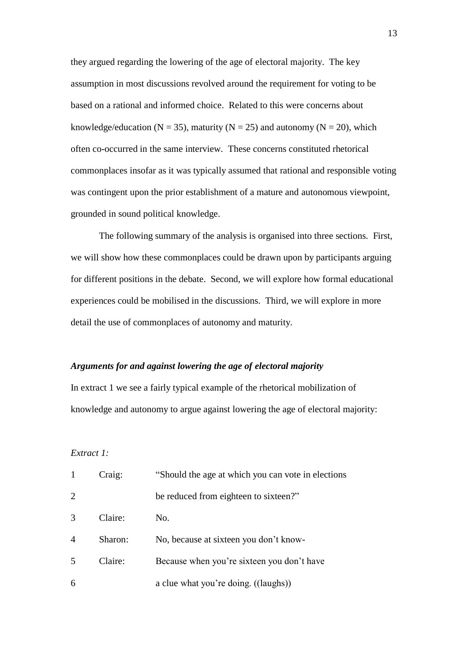they argued regarding the lowering of the age of electoral majority. The key assumption in most discussions revolved around the requirement for voting to be based on a rational and informed choice. Related to this were concerns about knowledge/education ( $N = 35$ ), maturity ( $N = 25$ ) and autonomy ( $N = 20$ ), which often co-occurred in the same interview. These concerns constituted rhetorical commonplaces insofar as it was typically assumed that rational and responsible voting was contingent upon the prior establishment of a mature and autonomous viewpoint, grounded in sound political knowledge.

The following summary of the analysis is organised into three sections. First, we will show how these commonplaces could be drawn upon by participants arguing for different positions in the debate. Second, we will explore how formal educational experiences could be mobilised in the discussions. Third, we will explore in more detail the use of commonplaces of autonomy and maturity.

#### *Arguments for and against lowering the age of electoral majority*

In extract 1 we see a fairly typical example of the rhetorical mobilization of knowledge and autonomy to argue against lowering the age of electoral majority:

*Extract 1:*

|                | Craig:  | "Should the age at which you can vote in elections |
|----------------|---------|----------------------------------------------------|
| 2              |         | be reduced from eighteen to sixteen?"              |
| 3              | Claire: | No.                                                |
| $\overline{4}$ | Sharon: | No, because at sixteen you don't know-             |
| .5             | Claire: | Because when you're sixteen you don't have         |
| 6              |         | a clue what you're doing. ((laughs))               |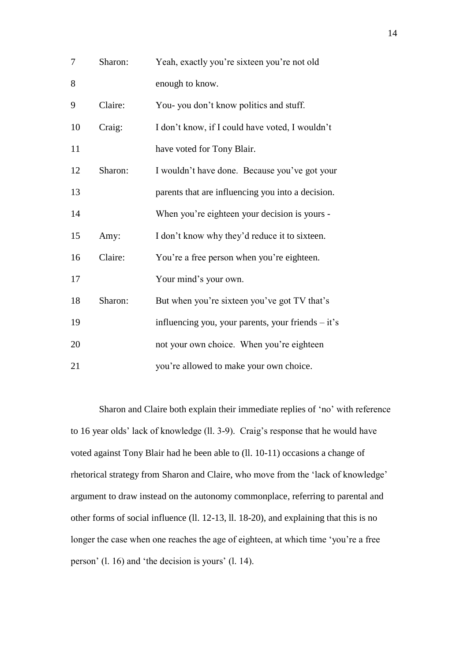| 7  | Sharon: | Yeah, exactly you're sixteen you're not old          |
|----|---------|------------------------------------------------------|
| 8  |         | enough to know.                                      |
| 9  | Claire: | You- you don't know politics and stuff.              |
| 10 | Craig:  | I don't know, if I could have voted, I wouldn't      |
| 11 |         | have voted for Tony Blair.                           |
| 12 | Sharon: | I wouldn't have done. Because you've got your        |
| 13 |         | parents that are influencing you into a decision.    |
| 14 |         | When you're eighteen your decision is yours -        |
| 15 | Amy:    | I don't know why they'd reduce it to sixteen.        |
| 16 | Claire: | You're a free person when you're eighteen.           |
| 17 |         | Your mind's your own.                                |
| 18 | Sharon: | But when you're sixteen you've got TV that's         |
| 19 |         | influencing you, your parents, your friends $-$ it's |
| 20 |         | not your own choice. When you're eighteen            |
| 21 |         | you're allowed to make your own choice.              |

Sharon and Claire both explain their immediate replies of 'no' with reference to 16 year olds' lack of knowledge (ll. 3-9). Craig's response that he would have voted against Tony Blair had he been able to (ll. 10-11) occasions a change of rhetorical strategy from Sharon and Claire, who move from the 'lack of knowledge' argument to draw instead on the autonomy commonplace, referring to parental and other forms of social influence (ll. 12-13, ll. 18-20), and explaining that this is no longer the case when one reaches the age of eighteen, at which time 'you're a free person' (l. 16) and 'the decision is yours' (l. 14).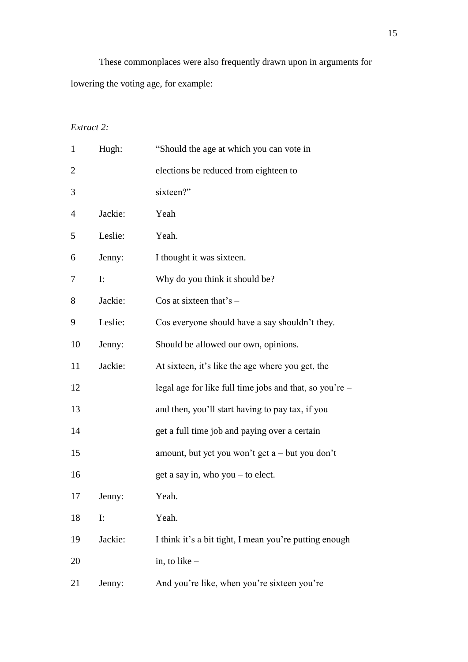These commonplaces were also frequently drawn upon in arguments for lowering the voting age, for example:

# *Extract 2:*

| $\mathbf{1}$ | Hugh:          | "Should the age at which you can vote in                |
|--------------|----------------|---------------------------------------------------------|
| 2            |                | elections be reduced from eighteen to                   |
| 3            |                | sixteen?"                                               |
| 4            | Jackie:        | Yeah                                                    |
| 5            | Leslie:        | Yeah.                                                   |
| 6            | Jenny:         | I thought it was sixteen.                               |
| 7            | $\mathbf{I}$ : | Why do you think it should be?                          |
| 8            | Jackie:        | Cos at sixteen that's $-$                               |
| 9            | Leslie:        | Cos everyone should have a say shouldn't they.          |
| 10           | Jenny:         | Should be allowed our own, opinions.                    |
| 11           | Jackie:        | At sixteen, it's like the age where you get, the        |
| 12           |                | legal age for like full time jobs and that, so you're – |
| 13           |                | and then, you'll start having to pay tax, if you        |
| 14           |                | get a full time job and paying over a certain           |
| 15           |                | amount, but yet you won't get a – but you don't         |
| 16           |                | get a say in, who you – to elect.                       |
| 17           | Jenny:         | Yeah.                                                   |
| 18           | $\mathbf{I}$ : | Yeah.                                                   |
| 19           | Jackie:        | I think it's a bit tight, I mean you're putting enough  |
| 20           |                | in, to like $-$                                         |
| 21           | Jenny:         | And you're like, when you're sixteen you're             |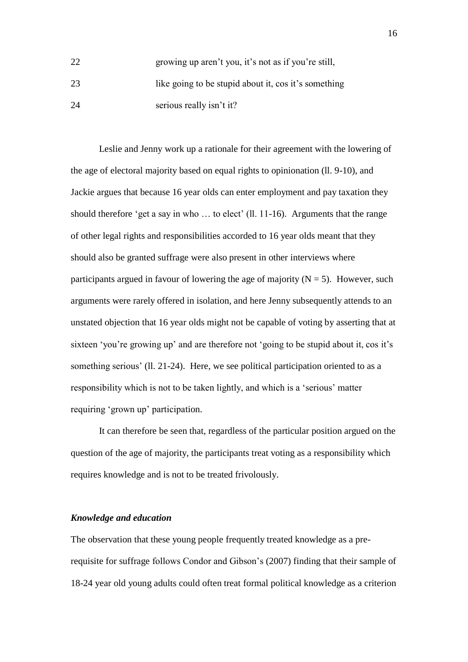| 22 | growing up aren't you, it's not as if you're still,  |
|----|------------------------------------------------------|
| 23 | like going to be stupid about it, cos it's something |
| 24 | serious really isn't it?                             |

Leslie and Jenny work up a rationale for their agreement with the lowering of the age of electoral majority based on equal rights to opinionation (ll. 9-10), and Jackie argues that because 16 year olds can enter employment and pay taxation they should therefore 'get a say in who … to elect' (ll. 11-16). Arguments that the range of other legal rights and responsibilities accorded to 16 year olds meant that they should also be granted suffrage were also present in other interviews where participants argued in favour of lowering the age of majority  $(N = 5)$ . However, such arguments were rarely offered in isolation, and here Jenny subsequently attends to an unstated objection that 16 year olds might not be capable of voting by asserting that at sixteen 'you're growing up' and are therefore not 'going to be stupid about it, cos it's something serious' (ll. 21-24). Here, we see political participation oriented to as a responsibility which is not to be taken lightly, and which is a 'serious' matter requiring 'grown up' participation.

It can therefore be seen that, regardless of the particular position argued on the question of the age of majority, the participants treat voting as a responsibility which requires knowledge and is not to be treated frivolously.

#### *Knowledge and education*

The observation that these young people frequently treated knowledge as a prerequisite for suffrage follows Condor and Gibson's (2007) finding that their sample of 18-24 year old young adults could often treat formal political knowledge as a criterion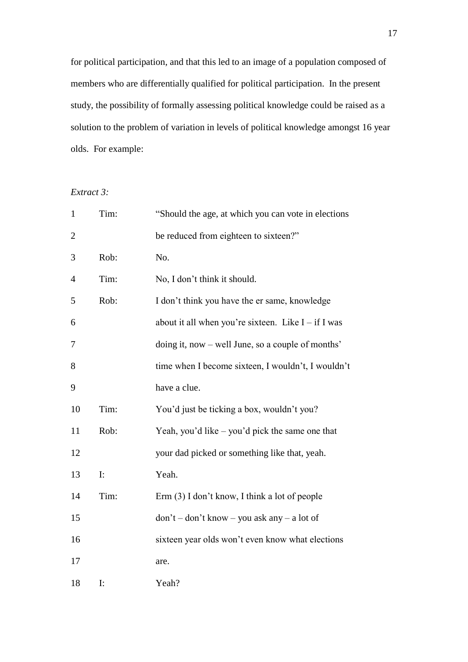for political participation, and that this led to an image of a population composed of members who are differentially qualified for political participation. In the present study, the possibility of formally assessing political knowledge could be raised as a solution to the problem of variation in levels of political knowledge amongst 16 year olds. For example:

# *Extract 3:*

| $\mathbf{1}$ | Tim: | "Should the age, at which you can vote in elections   |
|--------------|------|-------------------------------------------------------|
| $\mathbf{2}$ |      | be reduced from eighteen to sixteen?"                 |
| 3            | Rob: | No.                                                   |
| 4            | Tim: | No, I don't think it should.                          |
| 5            | Rob: | I don't think you have the er same, knowledge         |
| 6            |      | about it all when you're sixteen. Like $I - if I$ was |
| 7            |      | doing it, now – well June, so a couple of months'     |
| 8            |      | time when I become sixteen, I wouldn't, I wouldn't    |
| 9            |      | have a clue.                                          |
| 10           | Tim: | You'd just be ticking a box, wouldn't you?            |
| 11           | Rob: | Yeah, you'd like – you'd pick the same one that       |
| 12           |      | your dad picked or something like that, yeah.         |
| 13           | I:   | Yeah.                                                 |
| 14           | Tim: | Erm $(3)$ I don't know, I think a lot of people       |
| 15           |      | $don't - don't know - you ask any - a lot of$         |
| 16           |      | sixteen year olds won't even know what elections      |
| 17           |      | are.                                                  |
| 18           | I:   | Yeah?                                                 |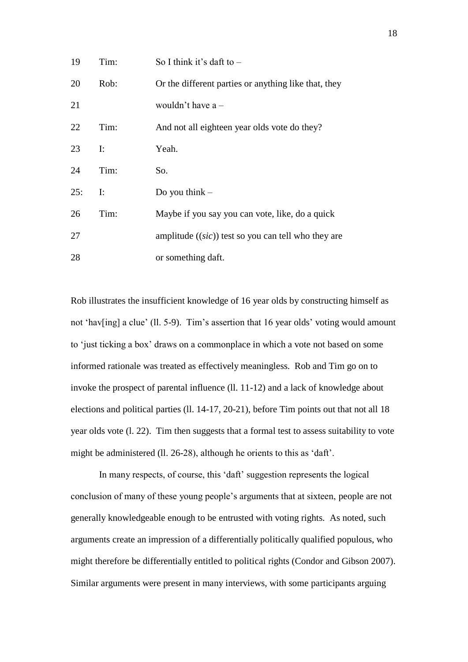| 19  | Tim:           | So I think it's daft to $-$                           |
|-----|----------------|-------------------------------------------------------|
| 20  | Rob:           | Or the different parties or anything like that, they  |
| 21  |                | wouldn't have $a -$                                   |
| 22  | Tim:           | And not all eighteen year olds vote do they?          |
| 23  | $\mathbf{I}$ : | Yeah.                                                 |
| 24  | Tim:           | So.                                                   |
| 25: | $\mathbf{I}$ : | Do you think $-$                                      |
| 26  | Tim:           | Maybe if you say you can vote, like, do a quick       |
| 27  |                | amplitude $((sic))$ test so you can tell who they are |
| 28  |                | or something daft.                                    |

Rob illustrates the insufficient knowledge of 16 year olds by constructing himself as not 'hav[ing] a clue' (ll. 5-9). Tim's assertion that 16 year olds' voting would amount to 'just ticking a box' draws on a commonplace in which a vote not based on some informed rationale was treated as effectively meaningless. Rob and Tim go on to invoke the prospect of parental influence (ll. 11-12) and a lack of knowledge about elections and political parties (ll. 14-17, 20-21), before Tim points out that not all 18 year olds vote (l. 22). Tim then suggests that a formal test to assess suitability to vote might be administered (ll. 26-28), although he orients to this as 'daft'.

In many respects, of course, this 'daft' suggestion represents the logical conclusion of many of these young people's arguments that at sixteen, people are not generally knowledgeable enough to be entrusted with voting rights. As noted, such arguments create an impression of a differentially politically qualified populous, who might therefore be differentially entitled to political rights (Condor and Gibson 2007). Similar arguments were present in many interviews, with some participants arguing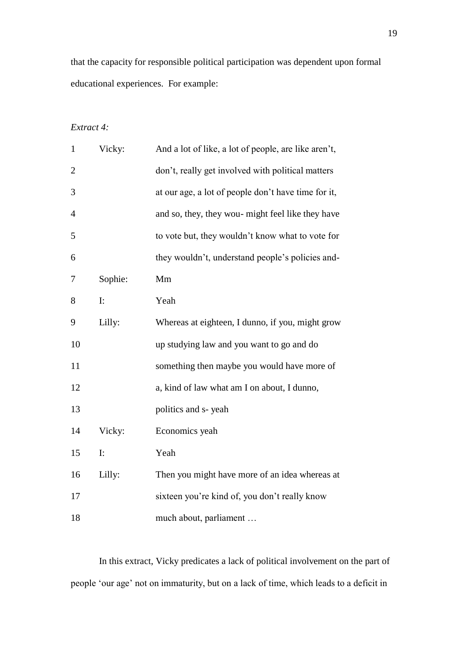that the capacity for responsible political participation was dependent upon formal educational experiences. For example:

# *Extract 4:*

| $\mathbf{1}$   | Vicky:  | And a lot of like, a lot of people, are like aren't, |
|----------------|---------|------------------------------------------------------|
| $\overline{2}$ |         | don't, really get involved with political matters    |
| 3              |         | at our age, a lot of people don't have time for it,  |
| 4              |         | and so, they, they wou- might feel like they have    |
| 5              |         | to vote but, they wouldn't know what to vote for     |
| 6              |         | they wouldn't, understand people's policies and-     |
| 7              | Sophie: | Mm                                                   |
| 8              | I:      | Yeah                                                 |
| 9              | Lilly:  | Whereas at eighteen, I dunno, if you, might grow     |
| 10             |         | up studying law and you want to go and do            |
| 11             |         | something then maybe you would have more of          |
| 12             |         | a, kind of law what am I on about, I dunno,          |
| 13             |         | politics and s-yeah                                  |
| 14             | Vicky:  | Economics yeah                                       |
| 15             | I:      | Yeah                                                 |
| 16             | Lilly:  | Then you might have more of an idea whereas at       |
| 17             |         | sixteen you're kind of, you don't really know        |
| 18             |         | much about, parliament                               |

In this extract, Vicky predicates a lack of political involvement on the part of people 'our age' not on immaturity, but on a lack of time, which leads to a deficit in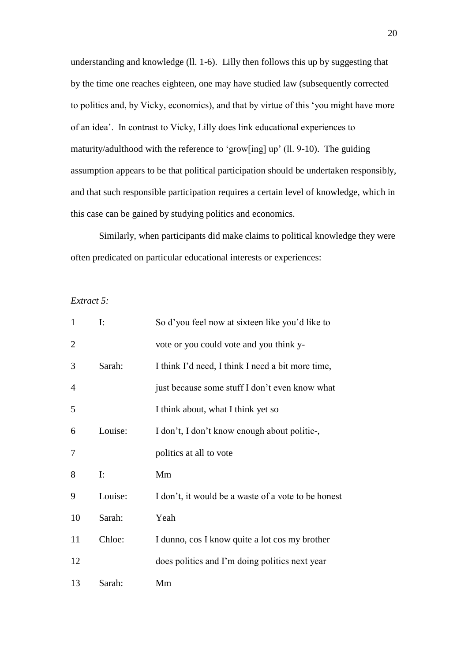understanding and knowledge (ll. 1-6). Lilly then follows this up by suggesting that by the time one reaches eighteen, one may have studied law (subsequently corrected to politics and, by Vicky, economics), and that by virtue of this 'you might have more of an idea'. In contrast to Vicky, Lilly does link educational experiences to maturity/adulthood with the reference to 'grow[ing] up' (ll. 9-10). The guiding assumption appears to be that political participation should be undertaken responsibly, and that such responsible participation requires a certain level of knowledge, which in this case can be gained by studying politics and economics.

Similarly, when participants did make claims to political knowledge they were often predicated on particular educational interests or experiences:

#### *Extract 5:*

| $\mathbf{1}$   | $\mathbf{I}$ : | So d'you feel now at sixteen like you'd like to     |
|----------------|----------------|-----------------------------------------------------|
| $\overline{2}$ |                | vote or you could vote and you think y-             |
| 3              | Sarah:         | I think I'd need, I think I need a bit more time,   |
| 4              |                | just because some stuff I don't even know what      |
| 5              |                | I think about, what I think yet so                  |
| 6              | Louise:        | I don't, I don't know enough about politic-,        |
| 7              |                | politics at all to vote                             |
| 8              | $\mathbf{I}$ : | Mm                                                  |
| 9              | Louise:        | I don't, it would be a waste of a vote to be honest |
| 10             | Sarah:         | Yeah                                                |
| 11             | Chloe:         | I dunno, cos I know quite a lot cos my brother      |
| 12             |                | does politics and I'm doing politics next year      |
| 13             | Sarah:         | Mm                                                  |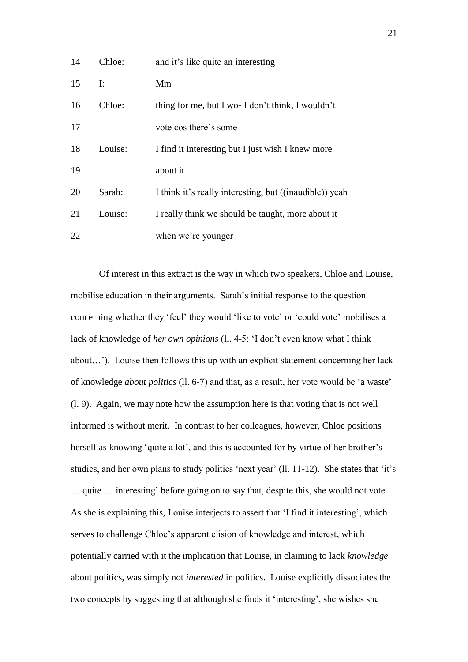| 14 | Chloe:  | and it's like quite an interesting                      |
|----|---------|---------------------------------------------------------|
| 15 | I:      | Mm                                                      |
| 16 | Chloe:  | thing for me, but I wo- I don't think, I wouldn't       |
| 17 |         | vote cos there's some-                                  |
| 18 | Louise: | I find it interesting but I just wish I knew more       |
| 19 |         | about it                                                |
| 20 | Sarah:  | I think it's really interesting, but ((inaudible)) yeah |
| 21 | Louise: | I really think we should be taught, more about it       |
| 22 |         | when we're younger                                      |

Of interest in this extract is the way in which two speakers, Chloe and Louise, mobilise education in their arguments. Sarah's initial response to the question concerning whether they 'feel' they would 'like to vote' or 'could vote' mobilises a lack of knowledge of *her own opinions* (ll. 4-5: 'I don't even know what I think about…'). Louise then follows this up with an explicit statement concerning her lack of knowledge *about politics* (ll. 6-7) and that, as a result, her vote would be 'a waste' (l. 9). Again, we may note how the assumption here is that voting that is not well informed is without merit. In contrast to her colleagues, however, Chloe positions herself as knowing 'quite a lot', and this is accounted for by virtue of her brother's studies, and her own plans to study politics 'next year' (ll. 11-12). She states that 'it's … quite … interesting' before going on to say that, despite this, she would not vote. As she is explaining this, Louise interjects to assert that 'I find it interesting', which serves to challenge Chloe's apparent elision of knowledge and interest, which potentially carried with it the implication that Louise, in claiming to lack *knowledge* about politics, was simply not *interested* in politics. Louise explicitly dissociates the two concepts by suggesting that although she finds it 'interesting', she wishes she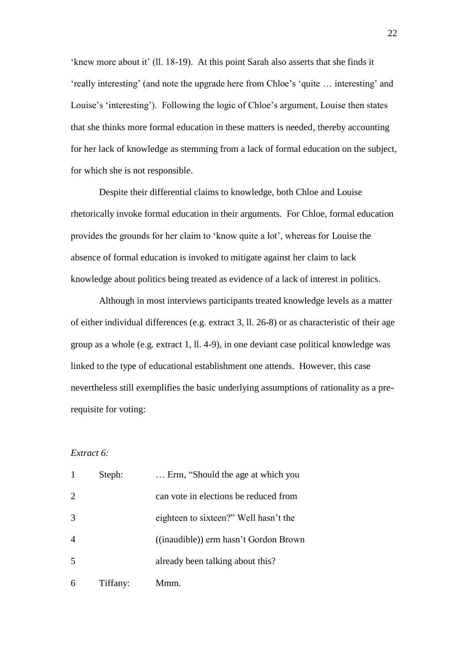'knew more about it' (ll. 18-19). At this point Sarah also asserts that she finds it 'really interesting' (and note the upgrade here from Chloe's 'quite … interesting' and Louise's 'interesting'). Following the logic of Chloe's argument, Louise then states that she thinks more formal education in these matters is needed, thereby accounting for her lack of knowledge as stemming from a lack of formal education on the subject, for which she is not responsible.

Despite their differential claims to knowledge, both Chloe and Louise rhetorically invoke formal education in their arguments. For Chloe, formal education provides the grounds for her claim to 'know quite a lot', whereas for Louise the absence of formal education is invoked to mitigate against her claim to lack knowledge about politics being treated as evidence of a lack of interest in politics.

Although in most interviews participants treated knowledge levels as a matter of either individual differences (e.g. extract 3, ll. 26-8) or as characteristic of their age group as a whole (e.g. extract 1, ll. 4-9), in one deviant case political knowledge was linked to the type of educational establishment one attends. However, this case nevertheless still exemplifies the basic underlying assumptions of rationality as a prerequisite for voting:

# *Extract 6:*

| 1              | Steph:   | Erm, "Should the age at which you     |
|----------------|----------|---------------------------------------|
| $\overline{2}$ |          | can vote in elections be reduced from |
| 3              |          | eighteen to sixteen?" Well hasn't the |
| $\overline{4}$ |          | ((inaudible)) erm hasn't Gordon Brown |
| 5              |          | already been talking about this?      |
| 6              | Tiffany: | Mmm.                                  |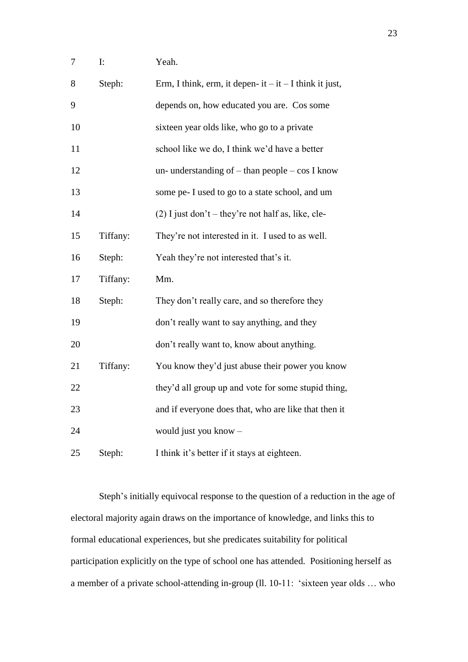| $\mathbf{r}$ | Yeah. |
|--------------|-------|
|              |       |

| 8  | Steph:   | Erm, I think, erm, it depen- it $-$ it $-$ I think it just, |
|----|----------|-------------------------------------------------------------|
| 9  |          | depends on, how educated you are. Cos some                  |
| 10 |          | sixteen year olds like, who go to a private                 |
| 11 |          | school like we do, I think we'd have a better               |
| 12 |          | un- understanding of $-$ than people $-$ cos I know         |
| 13 |          | some pe- I used to go to a state school, and um             |
| 14 |          | $(2)$ I just don't – they're not half as, like, cle-        |
| 15 | Tiffany: | They're not interested in it. I used to as well.            |
| 16 | Steph:   | Yeah they're not interested that's it.                      |
| 17 | Tiffany: | Mm.                                                         |
| 18 | Steph:   | They don't really care, and so therefore they               |
| 19 |          | don't really want to say anything, and they                 |
| 20 |          | don't really want to, know about anything.                  |
| 21 | Tiffany: | You know they'd just abuse their power you know             |
| 22 |          | they'd all group up and vote for some stupid thing,         |
| 23 |          | and if everyone does that, who are like that then it        |
| 24 |          | would just you know -                                       |
|    |          |                                                             |

Steph's initially equivocal response to the question of a reduction in the age of electoral majority again draws on the importance of knowledge, and links this to formal educational experiences, but she predicates suitability for political participation explicitly on the type of school one has attended. Positioning herself as a member of a private school-attending in-group (ll. 10-11: 'sixteen year olds … who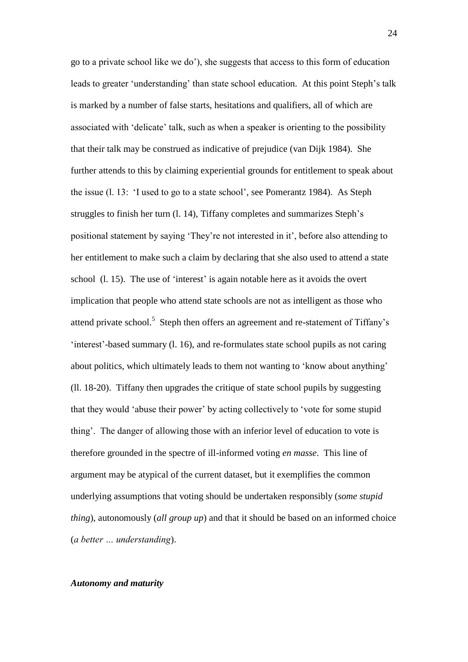go to a private school like we do'), she suggests that access to this form of education leads to greater 'understanding' than state school education. At this point Steph's talk is marked by a number of false starts, hesitations and qualifiers, all of which are associated with 'delicate' talk, such as when a speaker is orienting to the possibility that their talk may be construed as indicative of prejudice (van Dijk 1984). She further attends to this by claiming experiential grounds for entitlement to speak about the issue (l. 13: 'I used to go to a state school', see Pomerantz 1984). As Steph struggles to finish her turn (l. 14), Tiffany completes and summarizes Steph's positional statement by saying 'They're not interested in it', before also attending to her entitlement to make such a claim by declaring that she also used to attend a state school (l. 15). The use of 'interest' is again notable here as it avoids the overt implication that people who attend state schools are not as intelligent as those who attend private school.<sup>5</sup> Steph then offers an agreement and re-statement of Tiffany's 'interest'-based summary (l. 16), and re-formulates state school pupils as not caring about politics, which ultimately leads to them not wanting to 'know about anything' (ll. 18-20). Tiffany then upgrades the critique of state school pupils by suggesting that they would 'abuse their power' by acting collectively to 'vote for some stupid thing'. The danger of allowing those with an inferior level of education to vote is therefore grounded in the spectre of ill-informed voting *en masse*. This line of argument may be atypical of the current dataset, but it exemplifies the common underlying assumptions that voting should be undertaken responsibly (*some stupid thing*), autonomously (*all group up*) and that it should be based on an informed choice (*a better … understanding*).

#### *Autonomy and maturity*

24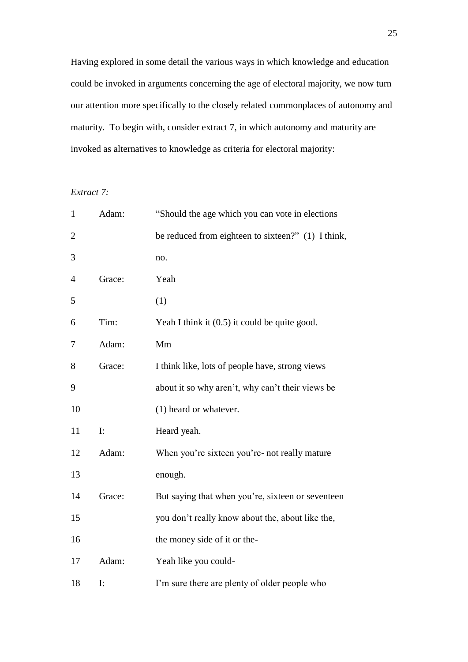Having explored in some detail the various ways in which knowledge and education could be invoked in arguments concerning the age of electoral majority, we now turn our attention more specifically to the closely related commonplaces of autonomy and maturity. To begin with, consider extract 7, in which autonomy and maturity are invoked as alternatives to knowledge as criteria for electoral majority:

# *Extract 7:*

| $\mathbf{1}$   | Adam:          | "Should the age which you can vote in elections"   |
|----------------|----------------|----------------------------------------------------|
| $\overline{2}$ |                | be reduced from eighteen to sixteen?" (1) I think, |
| 3              |                | no.                                                |
| 4              | Grace:         | Yeah                                               |
| 5              |                | (1)                                                |
| 6              | Tim:           | Yeah I think it $(0.5)$ it could be quite good.    |
| 7              | Adam:          | Mm                                                 |
| 8              | Grace:         | I think like, lots of people have, strong views    |
| 9              |                | about it so why aren't, why can't their views be   |
| 10             |                | (1) heard or whatever.                             |
| 11             | I:             | Heard yeah.                                        |
| 12             | Adam:          | When you're sixteen you're- not really mature      |
| 13             |                | enough.                                            |
| 14             | Grace:         | But saying that when you're, sixteen or seventeen  |
| 15             |                | you don't really know about the, about like the,   |
| 16             |                | the money side of it or the-                       |
| 17             | Adam:          | Yeah like you could-                               |
| 18             | $\mathbf{I}$ : | I'm sure there are plenty of older people who      |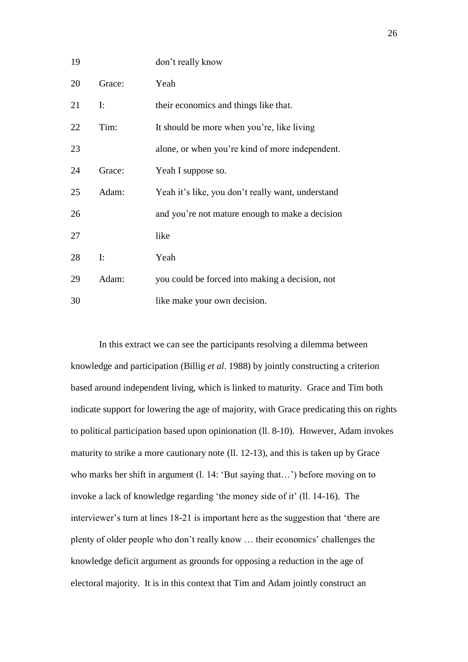| 19 |                | don't really know                                 |
|----|----------------|---------------------------------------------------|
| 20 | Grace:         | Yeah                                              |
| 21 | $\mathbf{I}$ : | their economics and things like that.             |
| 22 | Tim:           | It should be more when you're, like living        |
| 23 |                | alone, or when you're kind of more independent.   |
| 24 | Grace:         | Yeah I suppose so.                                |
| 25 | Adam:          | Yeah it's like, you don't really want, understand |
| 26 |                | and you're not mature enough to make a decision   |
| 27 |                | like                                              |
| 28 | $\mathbf{I}$ : | Yeah                                              |
| 29 | Adam:          | you could be forced into making a decision, not   |
| 30 |                | like make your own decision.                      |

In this extract we can see the participants resolving a dilemma between knowledge and participation (Billig *et al*. 1988) by jointly constructing a criterion based around independent living, which is linked to maturity. Grace and Tim both indicate support for lowering the age of majority, with Grace predicating this on rights to political participation based upon opinionation (ll. 8-10). However, Adam invokes maturity to strike a more cautionary note (ll. 12-13), and this is taken up by Grace who marks her shift in argument (l. 14: 'But saying that...') before moving on to invoke a lack of knowledge regarding 'the money side of it' (ll. 14-16). The interviewer's turn at lines 18-21 is important here as the suggestion that 'there are plenty of older people who don't really know … their economics' challenges the knowledge deficit argument as grounds for opposing a reduction in the age of electoral majority. It is in this context that Tim and Adam jointly construct an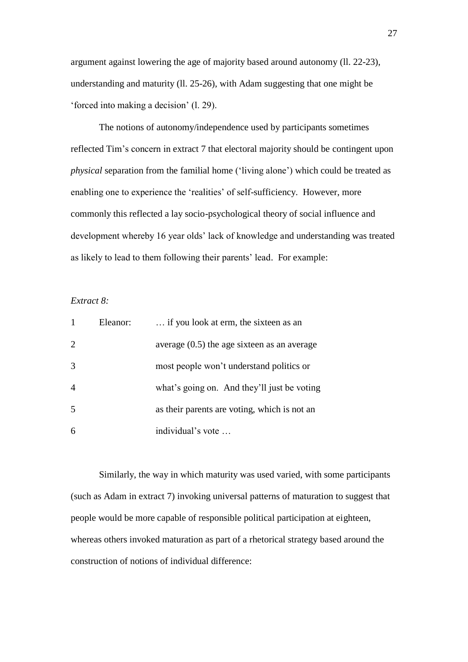argument against lowering the age of majority based around autonomy (ll. 22-23), understanding and maturity (ll. 25-26), with Adam suggesting that one might be 'forced into making a decision' (l. 29).

The notions of autonomy/independence used by participants sometimes reflected Tim's concern in extract 7 that electoral majority should be contingent upon *physical* separation from the familial home ('living alone') which could be treated as enabling one to experience the 'realities' of self-sufficiency. However, more commonly this reflected a lay socio-psychological theory of social influence and development whereby 16 year olds' lack of knowledge and understanding was treated as likely to lead to them following their parents' lead. For example:

# *Extract 8:*

|                | Eleanor: | if you look at erm, the sixteen as an         |
|----------------|----------|-----------------------------------------------|
| 2              |          | average $(0.5)$ the age sixteen as an average |
| 3              |          | most people won't understand politics or      |
| $\overline{4}$ |          | what's going on. And they'll just be voting   |
| 5              |          | as their parents are voting, which is not an  |
| 6              |          | individual's vote                             |

Similarly, the way in which maturity was used varied, with some participants (such as Adam in extract 7) invoking universal patterns of maturation to suggest that people would be more capable of responsible political participation at eighteen, whereas others invoked maturation as part of a rhetorical strategy based around the construction of notions of individual difference: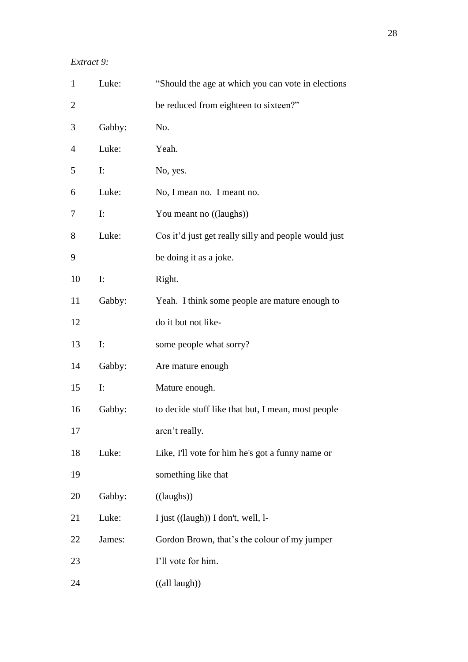*Extract 9:*

| $\mathbf{1}$   | Luke:          | "Should the age at which you can vote in elections"                     |
|----------------|----------------|-------------------------------------------------------------------------|
| $\overline{c}$ |                | be reduced from eighteen to sixteen?"                                   |
| 3              | Gabby:         | No.                                                                     |
| $\overline{4}$ | Luke:          | Yeah.                                                                   |
| 5              | $\mathbf{I}$ : | No, yes.                                                                |
| 6              | Luke:          | No, I mean no. I meant no.                                              |
| 7              | $\mathbf{I}$ : | You meant no ((laughs))                                                 |
| 8              | Luke:          | Cos it'd just get really silly and people would just                    |
| 9              |                | be doing it as a joke.                                                  |
| 10             | $\mathbf{I}$ : | Right.                                                                  |
| 11             | Gabby:         | Yeah. I think some people are mature enough to                          |
| 12             |                | do it but not like-                                                     |
| 13             | $\mathbf{I}$ : | some people what sorry?                                                 |
| 14             | Gabby:         | Are mature enough                                                       |
| 15             | I:             | Mature enough.                                                          |
| 16             | Gabby:         | to decide stuff like that but, I mean, most people                      |
| 17             |                | aren't really.                                                          |
| 18             | Luke:          | Like, I'll vote for him he's got a funny name or                        |
| 19             |                | something like that                                                     |
| 20             | Gabby:         | ((laughs))                                                              |
| 21             | Luke:          | I just ((laugh)) I don't, well, l-                                      |
| 22             | James:         | Gordon Brown, that's the colour of my jumper                            |
| 23             |                | I'll vote for him.                                                      |
| 24             |                | $((all l l l l l l l l l l l l l l l l l l l l l l l l l l l l l l l <$ |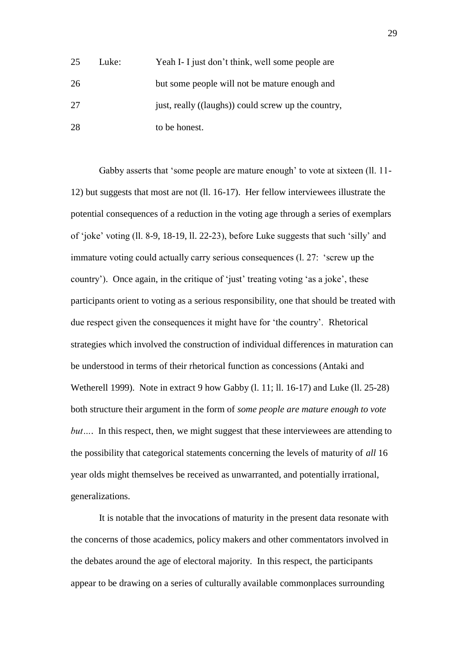| 25 | Luke: | Yeah I- I just don't think, well some people are    |
|----|-------|-----------------------------------------------------|
| 26 |       | but some people will not be mature enough and       |
| 27 |       | just, really ((laughs)) could screw up the country, |
| 28 |       | to be honest.                                       |

Gabby asserts that 'some people are mature enough' to vote at sixteen (ll. 11- 12) but suggests that most are not (ll. 16-17). Her fellow interviewees illustrate the potential consequences of a reduction in the voting age through a series of exemplars of 'joke' voting (ll. 8-9, 18-19, ll. 22-23), before Luke suggests that such 'silly' and immature voting could actually carry serious consequences (l. 27: 'screw up the country'). Once again, in the critique of 'just' treating voting 'as a joke', these participants orient to voting as a serious responsibility, one that should be treated with due respect given the consequences it might have for 'the country'. Rhetorical strategies which involved the construction of individual differences in maturation can be understood in terms of their rhetorical function as concessions (Antaki and Wetherell 1999). Note in extract 9 how Gabby (l. 11; ll. 16-17) and Luke (ll. 25-28) both structure their argument in the form of *some people are mature enough to vote but*.... In this respect, then, we might suggest that these interviewees are attending to the possibility that categorical statements concerning the levels of maturity of *all* 16 year olds might themselves be received as unwarranted, and potentially irrational, generalizations.

It is notable that the invocations of maturity in the present data resonate with the concerns of those academics, policy makers and other commentators involved in the debates around the age of electoral majority. In this respect, the participants appear to be drawing on a series of culturally available commonplaces surrounding

29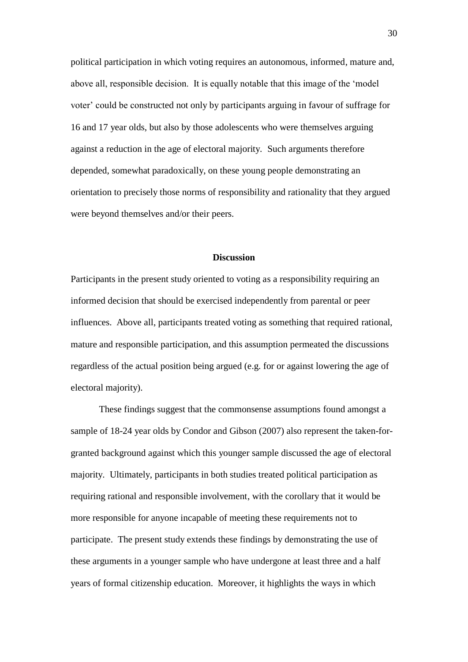political participation in which voting requires an autonomous, informed, mature and, above all, responsible decision. It is equally notable that this image of the 'model voter' could be constructed not only by participants arguing in favour of suffrage for 16 and 17 year olds, but also by those adolescents who were themselves arguing against a reduction in the age of electoral majority. Such arguments therefore depended, somewhat paradoxically, on these young people demonstrating an orientation to precisely those norms of responsibility and rationality that they argued were beyond themselves and/or their peers.

#### **Discussion**

Participants in the present study oriented to voting as a responsibility requiring an informed decision that should be exercised independently from parental or peer influences. Above all, participants treated voting as something that required rational, mature and responsible participation, and this assumption permeated the discussions regardless of the actual position being argued (e.g. for or against lowering the age of electoral majority).

These findings suggest that the commonsense assumptions found amongst a sample of 18-24 year olds by Condor and Gibson (2007) also represent the taken-forgranted background against which this younger sample discussed the age of electoral majority. Ultimately, participants in both studies treated political participation as requiring rational and responsible involvement, with the corollary that it would be more responsible for anyone incapable of meeting these requirements not to participate. The present study extends these findings by demonstrating the use of these arguments in a younger sample who have undergone at least three and a half years of formal citizenship education. Moreover, it highlights the ways in which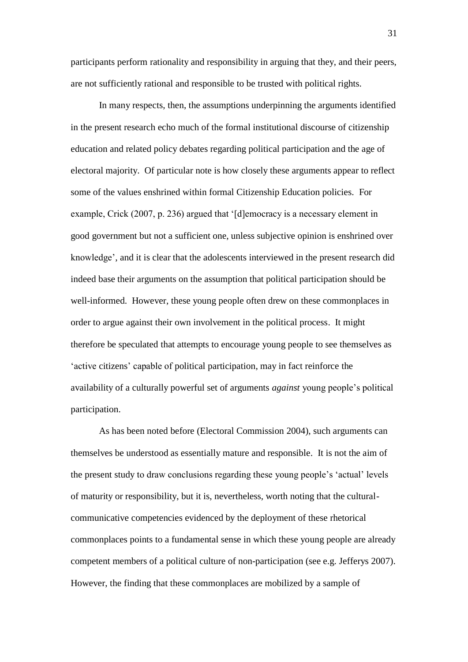participants perform rationality and responsibility in arguing that they, and their peers, are not sufficiently rational and responsible to be trusted with political rights.

In many respects, then, the assumptions underpinning the arguments identified in the present research echo much of the formal institutional discourse of citizenship education and related policy debates regarding political participation and the age of electoral majority. Of particular note is how closely these arguments appear to reflect some of the values enshrined within formal Citizenship Education policies. For example, Crick (2007, p. 236) argued that '[d]emocracy is a necessary element in good government but not a sufficient one, unless subjective opinion is enshrined over knowledge', and it is clear that the adolescents interviewed in the present research did indeed base their arguments on the assumption that political participation should be well-informed. However, these young people often drew on these commonplaces in order to argue against their own involvement in the political process. It might therefore be speculated that attempts to encourage young people to see themselves as 'active citizens' capable of political participation, may in fact reinforce the availability of a culturally powerful set of arguments *against* young people's political participation.

As has been noted before (Electoral Commission 2004), such arguments can themselves be understood as essentially mature and responsible. It is not the aim of the present study to draw conclusions regarding these young people's 'actual' levels of maturity or responsibility, but it is, nevertheless, worth noting that the culturalcommunicative competencies evidenced by the deployment of these rhetorical commonplaces points to a fundamental sense in which these young people are already competent members of a political culture of non-participation (see e.g. Jefferys 2007). However, the finding that these commonplaces are mobilized by a sample of

31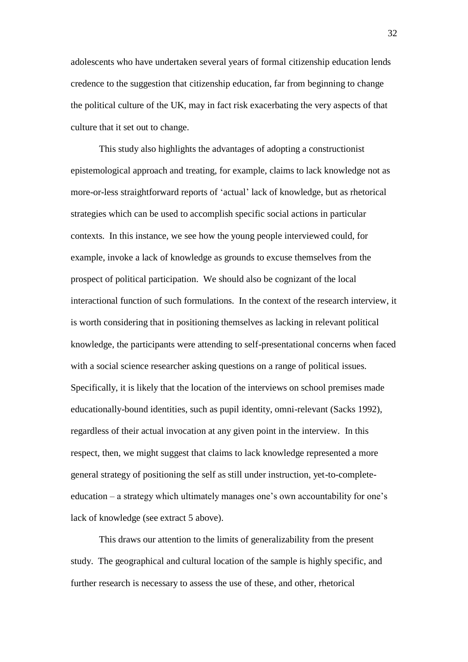adolescents who have undertaken several years of formal citizenship education lends credence to the suggestion that citizenship education, far from beginning to change the political culture of the UK, may in fact risk exacerbating the very aspects of that culture that it set out to change.

This study also highlights the advantages of adopting a constructionist epistemological approach and treating, for example, claims to lack knowledge not as more-or-less straightforward reports of 'actual' lack of knowledge, but as rhetorical strategies which can be used to accomplish specific social actions in particular contexts. In this instance, we see how the young people interviewed could, for example, invoke a lack of knowledge as grounds to excuse themselves from the prospect of political participation. We should also be cognizant of the local interactional function of such formulations. In the context of the research interview, it is worth considering that in positioning themselves as lacking in relevant political knowledge, the participants were attending to self-presentational concerns when faced with a social science researcher asking questions on a range of political issues. Specifically, it is likely that the location of the interviews on school premises made educationally-bound identities, such as pupil identity, omni-relevant (Sacks 1992), regardless of their actual invocation at any given point in the interview. In this respect, then, we might suggest that claims to lack knowledge represented a more general strategy of positioning the self as still under instruction, yet-to-completeeducation – a strategy which ultimately manages one's own accountability for one's lack of knowledge (see extract 5 above).

This draws our attention to the limits of generalizability from the present study. The geographical and cultural location of the sample is highly specific, and further research is necessary to assess the use of these, and other, rhetorical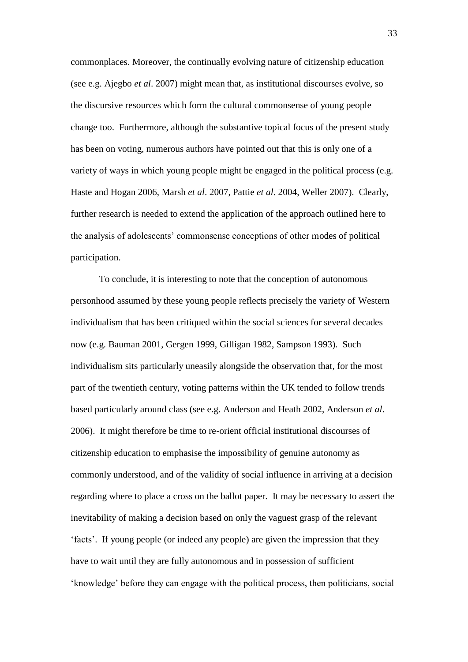commonplaces. Moreover, the continually evolving nature of citizenship education (see e.g. Ajegbo *et al*. 2007) might mean that, as institutional discourses evolve, so the discursive resources which form the cultural commonsense of young people change too. Furthermore, although the substantive topical focus of the present study has been on voting, numerous authors have pointed out that this is only one of a variety of ways in which young people might be engaged in the political process (e.g. Haste and Hogan 2006, Marsh *et al*. 2007, Pattie *et al*. 2004, Weller 2007). Clearly, further research is needed to extend the application of the approach outlined here to the analysis of adolescents' commonsense conceptions of other modes of political participation.

To conclude, it is interesting to note that the conception of autonomous personhood assumed by these young people reflects precisely the variety of Western individualism that has been critiqued within the social sciences for several decades now (e.g. Bauman 2001, Gergen 1999, Gilligan 1982, Sampson 1993). Such individualism sits particularly uneasily alongside the observation that, for the most part of the twentieth century, voting patterns within the UK tended to follow trends based particularly around class (see e.g. Anderson and Heath 2002, Anderson *et al*. 2006). It might therefore be time to re-orient official institutional discourses of citizenship education to emphasise the impossibility of genuine autonomy as commonly understood, and of the validity of social influence in arriving at a decision regarding where to place a cross on the ballot paper. It may be necessary to assert the inevitability of making a decision based on only the vaguest grasp of the relevant 'facts'. If young people (or indeed any people) are given the impression that they have to wait until they are fully autonomous and in possession of sufficient 'knowledge' before they can engage with the political process, then politicians, social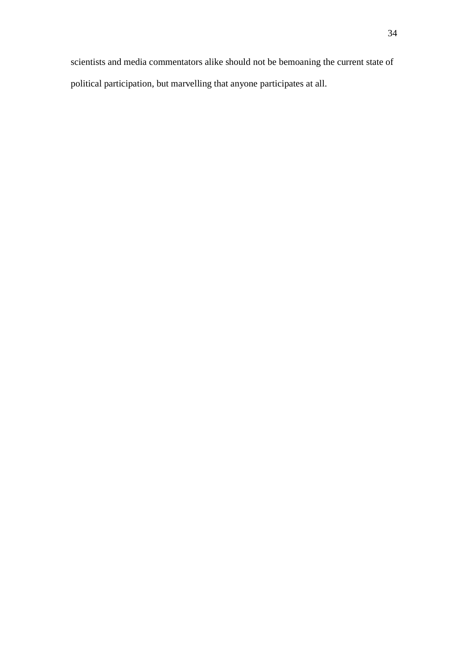scientists and media commentators alike should not be bemoaning the current state of political participation, but marvelling that anyone participates at all.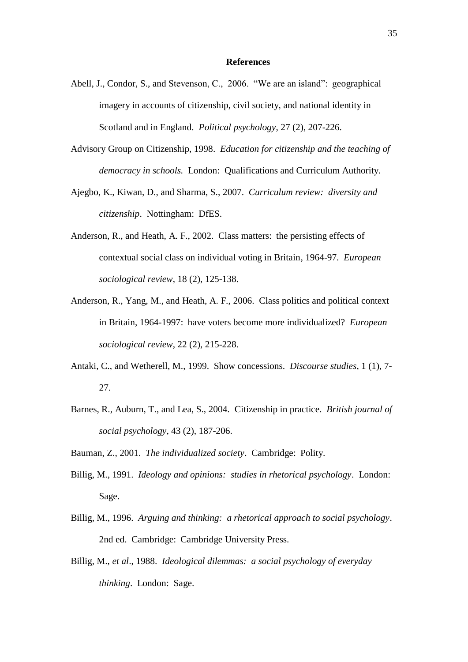#### **References**

- Abell, J., Condor, S., and Stevenson, C., 2006. "We are an island": geographical imagery in accounts of citizenship, civil society, and national identity in Scotland and in England. *Political psychology*, 27 (2), 207-226.
- Advisory Group on Citizenship, 1998. *Education for citizenship and the teaching of democracy in schools.* London: Qualifications and Curriculum Authority.
- Ajegbo, K., Kiwan, D., and Sharma, S., 2007. *Curriculum review: diversity and citizenship*. Nottingham: DfES.
- Anderson, R., and Heath, A. F., 2002. Class matters: the persisting effects of contextual social class on individual voting in Britain, 1964-97. *European sociological review*, 18 (2), 125-138.
- Anderson, R., Yang, M., and Heath, A. F., 2006. Class politics and political context in Britain, 1964-1997: have voters become more individualized? *European sociological review*, 22 (2), 215-228.
- Antaki, C., and Wetherell, M., 1999. Show concessions. *Discourse studies*, 1 (1), 7- 27.
- Barnes, R., Auburn, T., and Lea, S., 2004. Citizenship in practice. *British journal of social psychology*, 43 (2), 187-206.
- Bauman, Z., 2001. *The individualized society*.Cambridge: Polity.
- Billig, M., 1991. *Ideology and opinions: studies in rhetorical psychology*.London: Sage.
- Billig, M., 1996. *Arguing and thinking: a rhetorical approach to social psychology*. 2nd ed.Cambridge: Cambridge University Press.
- Billig, M., *et al*., 1988. *Ideological dilemmas: a social psychology of everyday thinking*.London: Sage.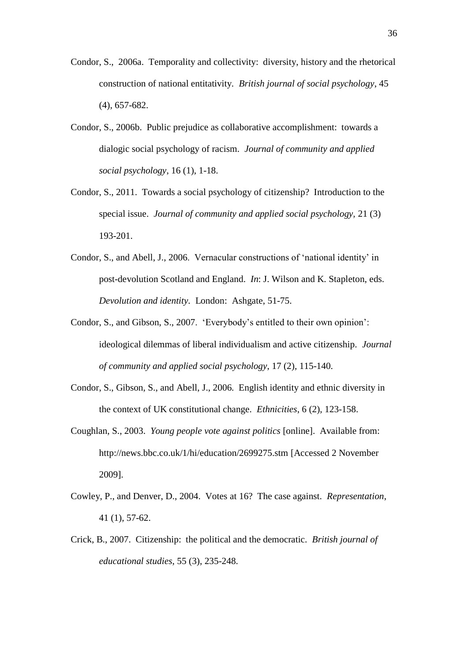- Condor, S., 2006a. Temporality and collectivity: diversity, history and the rhetorical construction of national entitativity. *British journal of social psychology*, 45 (4), 657-682.
- Condor, S., 2006b. Public prejudice as collaborative accomplishment: towards a dialogic social psychology of racism. *Journal of community and applied social psychology*, 16 (1), 1-18.
- Condor, S., 2011. Towards a social psychology of citizenship? Introduction to the special issue. *Journal of community and applied social psychology,* 21 (3) 193-201.
- Condor, S., and Abell, J., 2006. Vernacular constructions of 'national identity' in post-devolution Scotland and England. *In*: J. Wilson and K. Stapleton, eds. *Devolution and identity.* London: Ashgate, 51-75.
- Condor, S., and Gibson, S., 2007. 'Everybody's entitled to their own opinion': ideological dilemmas of liberal individualism and active citizenship. *Journal of community and applied social psychology*, 17 (2), 115-140.
- Condor, S., Gibson, S., and Abell, J., 2006. English identity and ethnic diversity in the context of UK constitutional change. *Ethnicities*, 6 (2), 123-158.
- Coughlan, S., 2003. *Young people vote against politics* [online]. Available from: http://news.bbc.co.uk/1/hi/education/2699275.stm [Accessed 2 November 2009].
- Cowley, P., and Denver, D., 2004. Votes at 16? The case against. *Representation*, 41 (1), 57-62.
- Crick, B., 2007. Citizenship: the political and the democratic. *British journal of educational studies*, 55 (3), 235-248.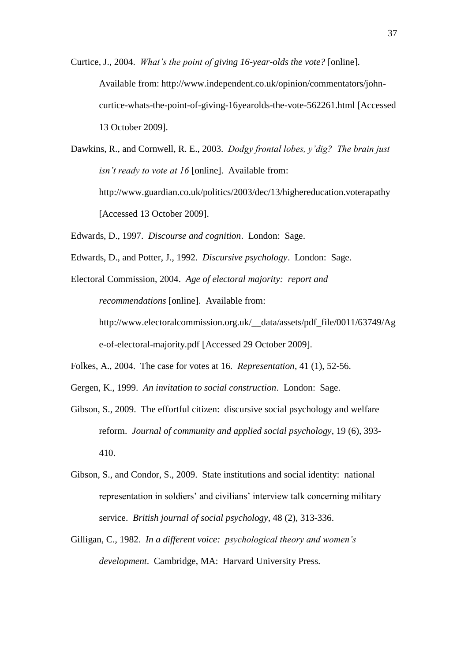- Curtice, J., 2004. *What's the point of giving 16-year-olds the vote?* [online]. Available from: http://www.independent.co.uk/opinion/commentators/johncurtice-whats-the-point-of-giving-16yearolds-the-vote-562261.html [Accessed 13 October 2009].
- Dawkins, R., and Cornwell, R. E., 2003. *Dodgy frontal lobes, y'dig? The brain just isn't ready to vote at 16* [online]. Available from: http://www.guardian.co.uk/politics/2003/dec/13/highereducation.voterapathy [Accessed 13 October 2009].
- Edwards, D., 1997. *Discourse and cognition*.London: Sage.
- Edwards, D., and Potter, J., 1992. *Discursive psychology*.London: Sage.
- Electoral Commission, 2004. *Age of electoral majority: report and recommendations* [online].Available from: http://www.electoralcommission.org.uk/\_\_data/assets/pdf\_file/0011/63749/Ag e-of-electoral-majority.pdf [Accessed 29 October 2009].
- Folkes, A., 2004. The case for votes at 16. *Representation*, 41 (1), 52-56.
- Gergen, K., 1999. *An invitation to social construction*.London: Sage.
- Gibson, S., 2009. The effortful citizen: discursive social psychology and welfare reform. *Journal of community and applied social psychology*, 19 (6), 393- 410.
- Gibson, S., and Condor, S., 2009. State institutions and social identity: national representation in soldiers' and civilians' interview talk concerning military service. *British journal of social psychology*, 48 (2), 313-336.
- Gilligan, C., 1982. *In a different voice: psychological theory and women's development*.Cambridge, MA: Harvard University Press.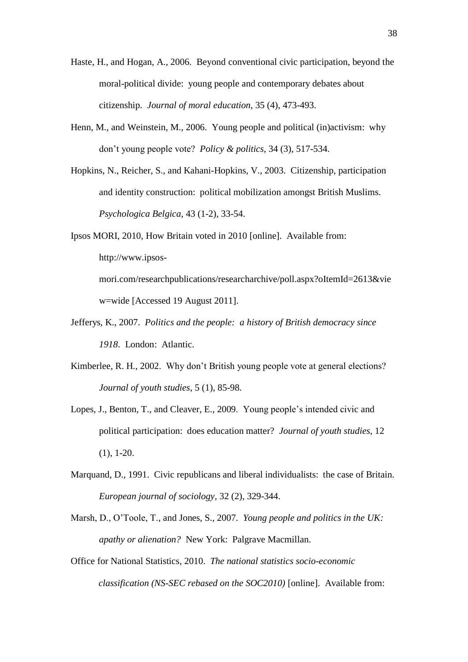- Haste, H., and Hogan, A., 2006. Beyond conventional civic participation, beyond the moral-political divide: young people and contemporary debates about citizenship. *Journal of moral education*, 35 (4), 473-493.
- Henn, M., and Weinstein, M., 2006. Young people and political (in)activism: why don't young people vote? *Policy & politics*, 34 (3), 517-534.
- Hopkins, N., Reicher, S., and Kahani-Hopkins, V., 2003. Citizenship, participation and identity construction: political mobilization amongst British Muslims. *Psychologica Belgica*, 43 (1-2), 33-54.
- Ipsos MORI, 2010, How Britain voted in 2010 [online].Available from: http://www.ipsosmori.com/researchpublications/researcharchive/poll.aspx?oItemId=2613&vie w=wide [Accessed 19 August 2011].
- Jefferys, K., 2007. *Politics and the people: a history of British democracy since 1918*.London: Atlantic.
- Kimberlee, R. H., 2002. Why don't British young people vote at general elections? *Journal of youth studies*, 5 (1), 85-98.
- Lopes, J., Benton, T., and Cleaver, E., 2009. Young people's intended civic and political participation: does education matter? *Journal of youth studies*, 12  $(1), 1-20.$
- Marquand, D., 1991. Civic republicans and liberal individualists: the case of Britain. *European journal of sociology*, 32 (2), 329-344.
- Marsh, D., O'Toole, T., and Jones, S., 2007. *Young people and politics in the UK: apathy or alienation?* New York: Palgrave Macmillan.
- Office for National Statistics, 2010. *The national statistics socio-economic classification (NS-SEC rebased on the SOC2010)* [online]. Available from: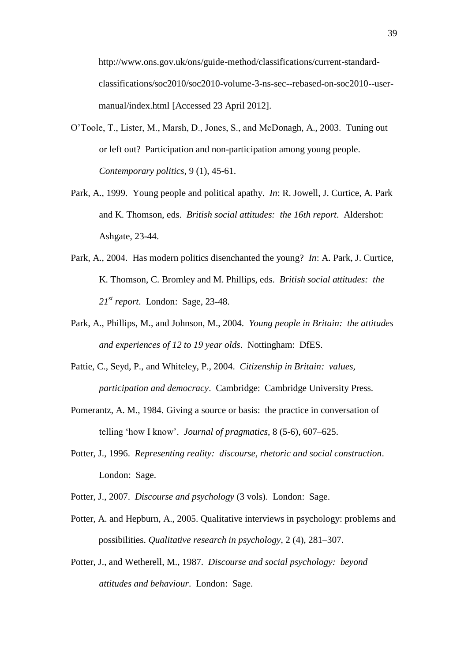http://www.ons.gov.uk/ons/guide-method/classifications/current-standardclassifications/soc2010/soc2010-volume-3-ns-sec--rebased-on-soc2010--usermanual/index.html [Accessed 23 April 2012].

- O'Toole, T., Lister, M., Marsh, D., Jones, S., and McDonagh, A., 2003. Tuning out or left out? Participation and non-participation among young people. *Contemporary politics,* 9 (1), 45-61.
- Park, A., 1999. Young people and political apathy. *In*: R. Jowell, J. Curtice, A. Park and K. Thomson, eds. *British social attitudes: the 16th report*. Aldershot: Ashgate, 23-44.
- Park, A., 2004. Has modern politics disenchanted the young? *In*: A. Park, J. Curtice, K. Thomson, C. Bromley and M. Phillips, eds. *British social attitudes: the 21st report*.London: Sage, 23-48.
- Park, A., Phillips, M., and Johnson, M., 2004. *Young people in Britain: the attitudes and experiences of 12 to 19 year olds*.Nottingham: DfES.
- Pattie, C., Seyd, P., and Whiteley, P., 2004. *Citizenship in Britain: values, participation and democracy*.Cambridge: Cambridge University Press.
- Pomerantz, A. M., 1984. Giving a source or basis: the practice in conversation of telling 'how I know'. *Journal of pragmatics*, 8 (5-6), 607–625.
- Potter, J., 1996. *Representing reality: discourse, rhetoric and social construction*. London: Sage.
- Potter, J., 2007. *Discourse and psychology* (3 vols). London: Sage.
- Potter, A. and Hepburn, A., 2005. Qualitative interviews in psychology: problems and possibilities. *Qualitative research in psychology*, 2 (4), 281–307.
- Potter, J., and Wetherell, M., 1987. *Discourse and social psychology: beyond attitudes and behaviour*.London: Sage.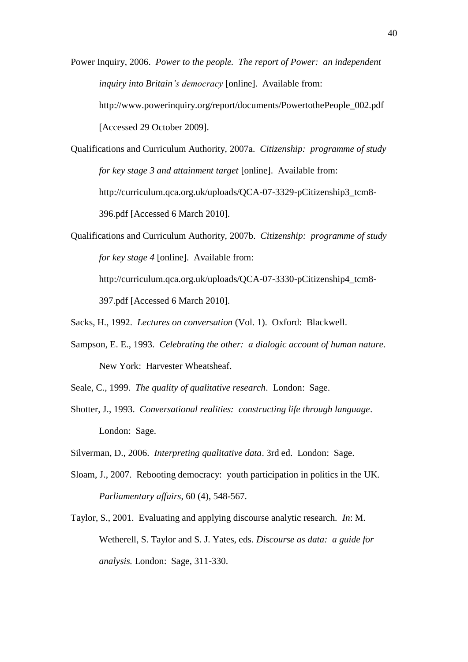Power Inquiry, 2006. *Power to the people. The report of Power: an independent inquiry into Britain's democracy* [online].Available from: http://www.powerinquiry.org/report/documents/PowertothePeople\_002.pdf [Accessed 29 October 2009].

Qualifications and Curriculum Authority, 2007a. *Citizenship: programme of study for key stage 3 and attainment target* [online].Available from: http://curriculum.qca.org.uk/uploads/QCA-07-3329-pCitizenship3\_tcm8- 396.pdf [Accessed 6 March 2010].

Qualifications and Curriculum Authority, 2007b. *Citizenship: programme of study for key stage 4* [online].Available from: http://curriculum.qca.org.uk/uploads/QCA-07-3330-pCitizenship4\_tcm8- 397.pdf [Accessed 6 March 2010].

Sacks, H., 1992. *Lectures on conversation* (Vol. 1).Oxford: Blackwell.

- Sampson, E. E., 1993. *Celebrating the other: a dialogic account of human nature*. New York: Harvester Wheatsheaf.
- Seale, C., 1999. *The quality of qualitative research*.London: Sage.
- Shotter, J., 1993. *Conversational realities: constructing life through language*. London: Sage.

Silverman, D., 2006. *Interpreting qualitative data*. 3rd ed. London: Sage.

- Sloam, J., 2007. Rebooting democracy: youth participation in politics in the UK. *Parliamentary affairs*, 60 (4), 548-567.
- Taylor, S., 2001. Evaluating and applying discourse analytic research. *In*: M. Wetherell, S. Taylor and S. J. Yates, eds. *Discourse as data: a guide for analysis.* London: Sage, 311-330.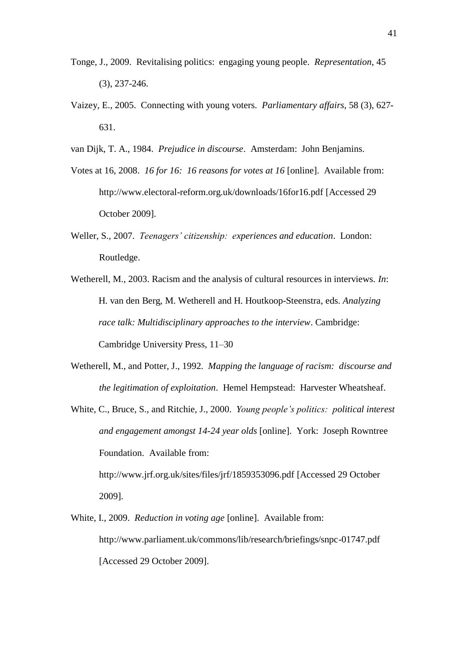- Tonge, J., 2009. Revitalising politics: engaging young people. *Representation*, 45 (3), 237-246.
- Vaizey, E., 2005. Connecting with young voters. *Parliamentary affairs*, 58 (3), 627- 631.
- van Dijk, T. A., 1984. *Prejudice in discourse*.Amsterdam: John Benjamins.
- Votes at 16, 2008. *16 for 16: 16 reasons for votes at 16* [online].Available from: http://www.electoral-reform.org.uk/downloads/16for16.pdf [Accessed 29 October 2009].
- Weller, S., 2007. *Teenagers' citizenship: experiences and education*.London: Routledge.
- Wetherell, M., 2003. Racism and the analysis of cultural resources in interviews. *In*: H. van den Berg, M. Wetherell and H. Houtkoop-Steenstra, eds. *Analyzing race talk: Multidisciplinary approaches to the interview*. Cambridge: Cambridge University Press, 11–30
- Wetherell, M., and Potter, J., 1992. *Mapping the language of racism: discourse and the legitimation of exploitation*.Hemel Hempstead: Harvester Wheatsheaf.
- White, C., Bruce, S., and Ritchie, J., 2000. *Young people's politics: political interest and engagement amongst 14-24 year olds* [online].York: Joseph Rowntree Foundation. Available from: http://www.jrf.org.uk/sites/files/jrf/1859353096.pdf [Accessed 29 October 2009].
- White, I., 2009. *Reduction in voting age* [online]. Available from: http://www.parliament.uk/commons/lib/research/briefings/snpc-01747.pdf [Accessed 29 October 2009].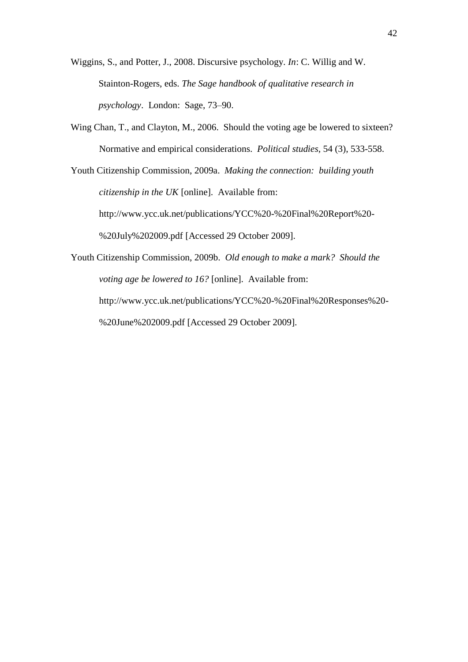Wiggins, S., and Potter, J., 2008. Discursive psychology. *In*: C. Willig and W. Stainton-Rogers, eds. *The Sage handbook of qualitative research in psychology*. London: Sage, 73–90.

Wing Chan, T., and Clayton, M., 2006. Should the voting age be lowered to sixteen? Normative and empirical considerations. *Political studies*, 54 (3), 533-558.

Youth Citizenship Commission, 2009a. *Making the connection: building youth citizenship in the UK* [online].Available from: http://www.ycc.uk.net/publications/YCC%20-%20Final%20Report%20- %20July%202009.pdf [Accessed 29 October 2009].

Youth Citizenship Commission, 2009b. *Old enough to make a mark? Should the voting age be lowered to 16?* [online].Available from: http://www.ycc.uk.net/publications/YCC%20-%20Final%20Responses%20- %20June%202009.pdf [Accessed 29 October 2009].